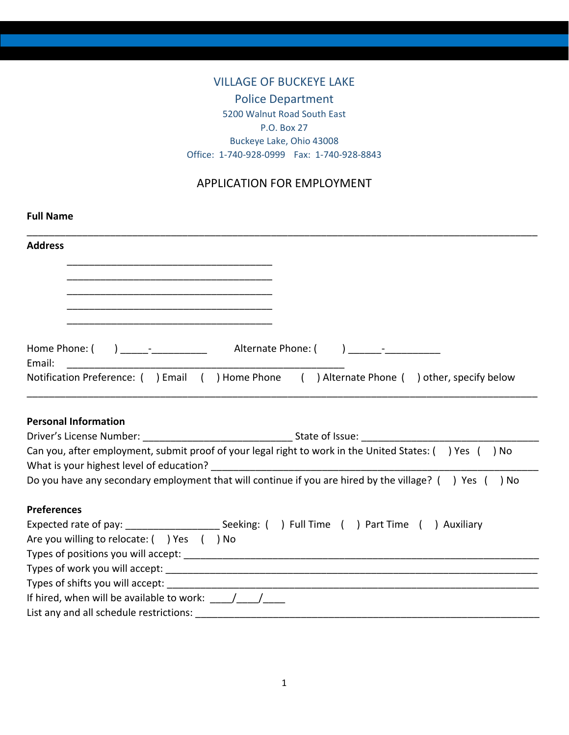# VILLAGE OF BUCKEYE LAKE Police Department 5200 Walnut Road South East P.O. Box 27 Buckeye Lake, Ohio 43008 Office: 1-740-928-0999 Fax: 1-740-928-8843

# APPLICATION FOR EMPLOYMENT

| <b>Full Name</b>                                                                                                      |
|-----------------------------------------------------------------------------------------------------------------------|
| <b>Address</b>                                                                                                        |
|                                                                                                                       |
| <u> 1980 - Johann Barn, fransk politik (d. 1980)</u>                                                                  |
| <u> 1989 - Johann Barn, mars ann an t-Amhain an t-Amhain an t-Amhain an t-Amhain an t-Amhain an t-Amhain an t-Amh</u> |
|                                                                                                                       |
| Email:                                                                                                                |
| Notification Preference: ( ) Email ( ) Home Phone ( ) Alternate Phone ( ) other, specify below                        |
|                                                                                                                       |
|                                                                                                                       |
| <b>Personal Information</b>                                                                                           |
|                                                                                                                       |
| Can you, after employment, submit proof of your legal right to work in the United States: () Yes () No                |
|                                                                                                                       |
| Do you have any secondary employment that will continue if you are hired by the village? () Yes () No                 |
| <b>Preferences</b>                                                                                                    |
| Expected rate of pay: __________________________Seeking: () Full Time () Part Time () Auxiliary                       |
| Are you willing to relocate: ( ) Yes ( ) No                                                                           |
|                                                                                                                       |
|                                                                                                                       |
|                                                                                                                       |
|                                                                                                                       |
|                                                                                                                       |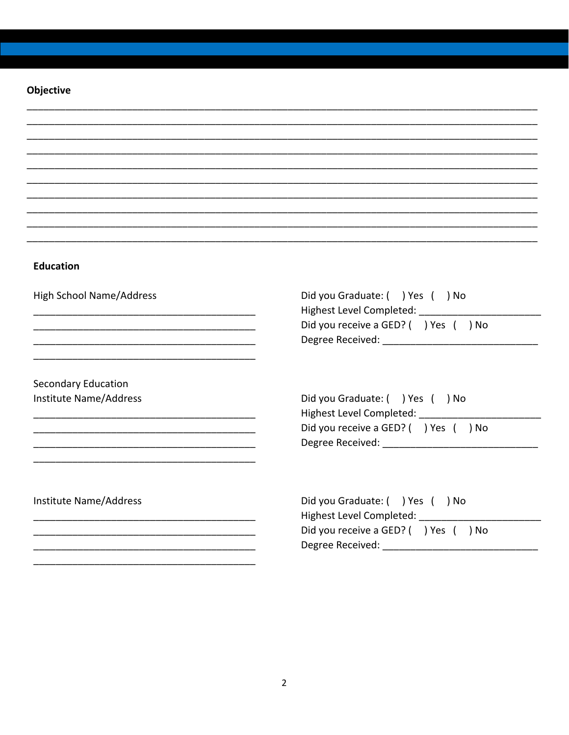#### Objective

#### **Education**

**High School Name/Address** 

Secondary Education Institute Name/Address Did you Graduate: () Yes () No Highest Level Completed: Did you receive a GED? () Yes () No 

Did you Graduate: ( ) Yes ( ) No Highest Level Completed: \_\_\_\_\_ Did you receive a GED? ( ) Yes ( ) No 

Institute Name/Address

Did you Graduate: ( ) Yes ( ) No Highest Level Completed: Did you receive a GED? ( ) Yes ( ) No Degree Received: Note that the state of the state of the state of the state of the state of the state of the state of the state of the state of the state of the state of the state of the state of the state of the state of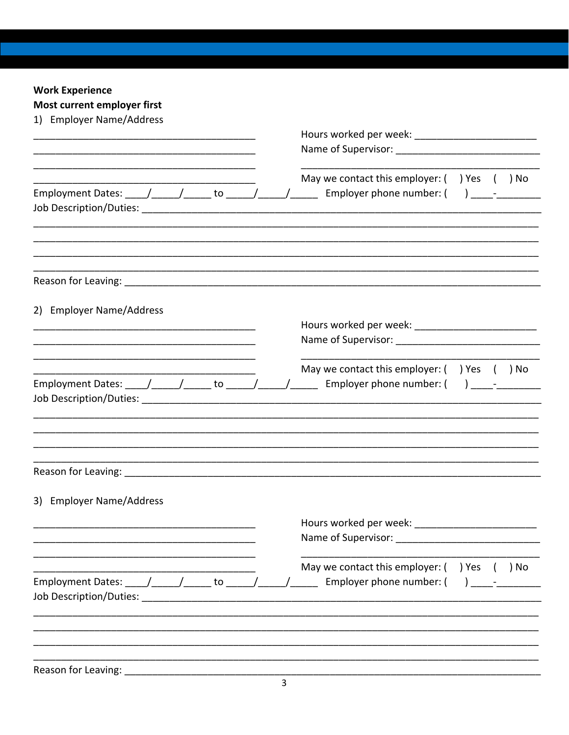# **Work Experience**

| Most current employer first                                                                                           |  |  |                                                                                      |  |  |      |
|-----------------------------------------------------------------------------------------------------------------------|--|--|--------------------------------------------------------------------------------------|--|--|------|
| 1) Employer Name/Address                                                                                              |  |  |                                                                                      |  |  |      |
|                                                                                                                       |  |  | Name of Supervisor: Name of Supervisor:                                              |  |  |      |
| Employment Dates: _____/_______/______ to ______/______/_______                                                       |  |  | May we contact this employer: () Yes () No<br>Employer phone number: $($ ) _________ |  |  |      |
|                                                                                                                       |  |  |                                                                                      |  |  |      |
| 2) Employer Name/Address                                                                                              |  |  |                                                                                      |  |  |      |
| <u> 1980 - Johann Barn, amerikan besteman besteman besteman besteman besteman besteman besteman besteman besteman</u> |  |  |                                                                                      |  |  |      |
|                                                                                                                       |  |  |                                                                                      |  |  |      |
|                                                                                                                       |  |  | May we contact this employer: $($ ) Yes $($ ) No                                     |  |  |      |
| Employment Dates: _____/______/______ to ______/______/______                                                         |  |  | Employer phone number: $($ ) $-$                                                     |  |  |      |
|                                                                                                                       |  |  |                                                                                      |  |  |      |
|                                                                                                                       |  |  |                                                                                      |  |  |      |
|                                                                                                                       |  |  |                                                                                      |  |  |      |
|                                                                                                                       |  |  |                                                                                      |  |  |      |
|                                                                                                                       |  |  |                                                                                      |  |  |      |
|                                                                                                                       |  |  |                                                                                      |  |  |      |
| 3) Employer Name/Address                                                                                              |  |  |                                                                                      |  |  |      |
|                                                                                                                       |  |  | Hours worked per week: Nours worked                                                  |  |  |      |
|                                                                                                                       |  |  |                                                                                      |  |  |      |
|                                                                                                                       |  |  | May we contact this employer: $($ ) Yes                                              |  |  | ) No |
| Employment Dates: _____/___________ to ______/_______/________ Employer phone number: (                               |  |  |                                                                                      |  |  |      |
|                                                                                                                       |  |  |                                                                                      |  |  |      |
|                                                                                                                       |  |  |                                                                                      |  |  |      |
|                                                                                                                       |  |  |                                                                                      |  |  |      |
|                                                                                                                       |  |  |                                                                                      |  |  |      |
| Reason for Leaving: __                                                                                                |  |  |                                                                                      |  |  |      |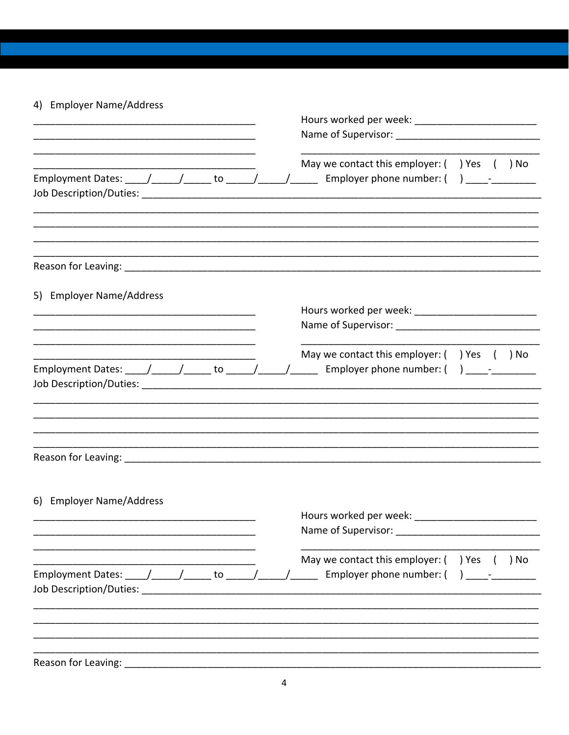# 4) Employer Name/Address

| Employment Dates: $\frac{1}{\sqrt{1-\frac{1}{2}}}\left(1-\frac{1}{2}\right)$ to $\frac{1}{\sqrt{1-\frac{1}{2}}}\left(1-\frac{1}{2}\right)$ |  | May we contact this employer: $($ ) Yes $($ ) No                               |
|--------------------------------------------------------------------------------------------------------------------------------------------|--|--------------------------------------------------------------------------------|
|                                                                                                                                            |  |                                                                                |
| 5) Employer Name/Address                                                                                                                   |  |                                                                                |
|                                                                                                                                            |  | Name of Supervisor: Name of Supervisor:                                        |
| Employment Dates: _____/______/______ to ______/______/______                                                                              |  | May we contact this employer: () Yes () No<br>Employer phone number: $($ ) $-$ |
|                                                                                                                                            |  |                                                                                |
|                                                                                                                                            |  |                                                                                |
| 6) Employer Name/Address                                                                                                                   |  | Name of Supervisor: Name of Supervisor:                                        |
|                                                                                                                                            |  | May we contact this employer: () Yes<br>) No                                   |
| Employment Dates: _____/______/______ to ______/______/______                                                                              |  | Employer phone number: (                                                       |
|                                                                                                                                            |  |                                                                                |
| Reason for Leaving:                                                                                                                        |  |                                                                                |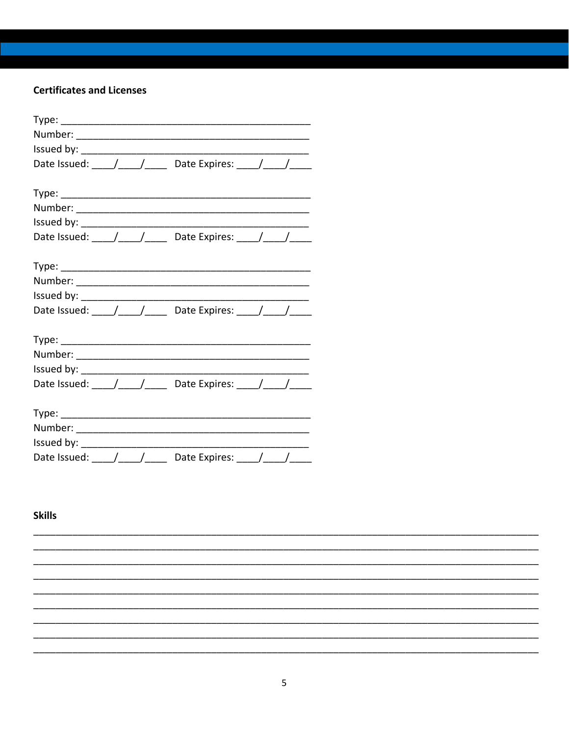### **Certificates and Licenses**

| Date Issued: $\frac{1}{\sqrt{1-\frac{1}{1-\frac{1}{1-\frac{1}{1-\frac{1}{1-\frac{1}{1-\frac{1}{1-\frac{1}{1-\frac{1}{1-\frac{1}{1-\frac{1}{1-\frac{1}{1-\frac{1}{1-\frac{1}{1-\frac{1}{1-\frac{1}{1-\frac{1}{1-\frac{1}{1-\frac{1}{1-\frac{1}{1-\frac{1}{1-\frac{1}{1-\frac{1}{1-\frac{1}{1-\frac{1}{1-\frac{1}{1-\frac{1}{1-\frac{1}{1-\frac{1}{1-\frac{1}{1-\frac{1}{1-\frac{1}{1-\frac{1}{1-\frac{1}{1$ |
|------------------------------------------------------------------------------------------------------------------------------------------------------------------------------------------------------------------------------------------------------------------------------------------------------------------------------------------------------------------------------------------------------------|
|                                                                                                                                                                                                                                                                                                                                                                                                            |
|                                                                                                                                                                                                                                                                                                                                                                                                            |
|                                                                                                                                                                                                                                                                                                                                                                                                            |
|                                                                                                                                                                                                                                                                                                                                                                                                            |
|                                                                                                                                                                                                                                                                                                                                                                                                            |
|                                                                                                                                                                                                                                                                                                                                                                                                            |
|                                                                                                                                                                                                                                                                                                                                                                                                            |
|                                                                                                                                                                                                                                                                                                                                                                                                            |
|                                                                                                                                                                                                                                                                                                                                                                                                            |
| Date Issued: ___/___/____ Date Expires: ___/___/____                                                                                                                                                                                                                                                                                                                                                       |
|                                                                                                                                                                                                                                                                                                                                                                                                            |
|                                                                                                                                                                                                                                                                                                                                                                                                            |
|                                                                                                                                                                                                                                                                                                                                                                                                            |
|                                                                                                                                                                                                                                                                                                                                                                                                            |
| Date Issued: \[\[\] \] \] \] \] \] \] Date Expires: \[\[\] \] \] \] \] \] \] \] \] Date Expires: \[\[\] \] \]                                                                                                                                                                                                                                                                                              |
|                                                                                                                                                                                                                                                                                                                                                                                                            |
|                                                                                                                                                                                                                                                                                                                                                                                                            |
|                                                                                                                                                                                                                                                                                                                                                                                                            |
|                                                                                                                                                                                                                                                                                                                                                                                                            |
| Date Issued: ____/____/_____ Date Expires: ____/____/____                                                                                                                                                                                                                                                                                                                                                  |

# **Skills**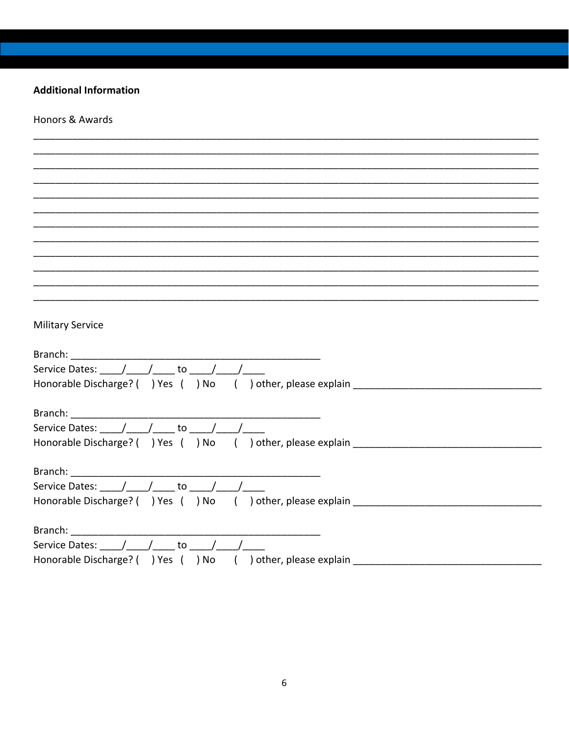#### **Additional Information**

Honors & Awards **Military Service** Service Dates:  $\left( \begin{array}{ccc} 1 & 1 \\ 1 & 1 \end{array} \right)$  to  $\left( \begin{array}{ccc} 1 & 1 \\ 1 & 1 \end{array} \right)$ Honorable Discharge? ( ) Yes ( ) No ( ) other, please explain \_\_\_\_\_\_\_\_\_\_\_\_\_\_\_\_\_\_\_ Branch: Service Dates: \_\_\_\_\_/\_\_\_\_\_/\_\_\_\_\_\_\_to \_\_\_\_\_/\_\_\_\_\_/\_\_\_ Branch: Service Dates: / / to / / Honorable Discharge? () Yes () No () other, please explain Branch: Service Dates:  $/ /$  to  $/ /$ Honorable Discharge? () Yes () No () other, please explain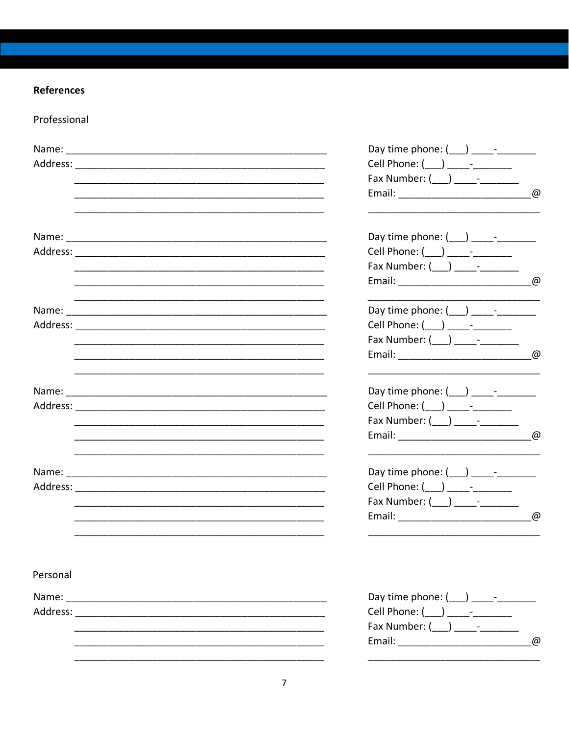# **References**

Professional

|          | Day time phone: (___) _____-______                                                                                                   |
|----------|--------------------------------------------------------------------------------------------------------------------------------------|
|          | Cell Phone: (___) _____-________                                                                                                     |
|          | Fax Number: $(\_\_\_) \_\_\_$                                                                                                        |
|          | Email: 2008 Communication Communication Communication Communication Communication Communication Communication                        |
|          | Day time phone: (___) _____-_____                                                                                                    |
|          | Cell Phone: (___) _____-_______                                                                                                      |
|          | Fax Number: $(\_\_\_)$ _____________                                                                                                 |
|          | $^{\omega}$<br><u> 1989 - Johann Barn, mars ar breithinn ar chwaraeth a chwaraeth a chwaraeth a chwaraeth a chwaraeth a chwaraet</u> |
|          | Day time phone: $(\_\_\_\_\_\_$                                                                                                      |
|          | Cell Phone: (___) _____________                                                                                                      |
|          | Fax Number: (___) _____________                                                                                                      |
|          | $\omega$<br><u> 1989 - Johann Barn, mars ann an t-Amhainn an t-Amhainn an t-Amhainn an t-Amhainn an t-Amhainn an t-Amhainn an </u>   |
|          | Day time phone: $($ $)$ -                                                                                                            |
|          | Cell Phone: (___) _____-_______                                                                                                      |
|          | Fax Number: $(\_\_\_) \_\_\_\_$                                                                                                      |
|          | $^{\omega}$                                                                                                                          |
|          | Day time phone: (___) _____-_____                                                                                                    |
|          | Cell Phone: ( ___ ) _____-________                                                                                                   |
|          | Fax Number: (___) ______________                                                                                                     |
|          | Email: @                                                                                                                             |
| Personal |                                                                                                                                      |
|          | Day time phone: (___) _____-________                                                                                                 |
|          | Cell Phone: (___) _____-______                                                                                                       |
|          | Fax Number: ( ) -                                                                                                                    |
|          | $\omega$                                                                                                                             |
|          |                                                                                                                                      |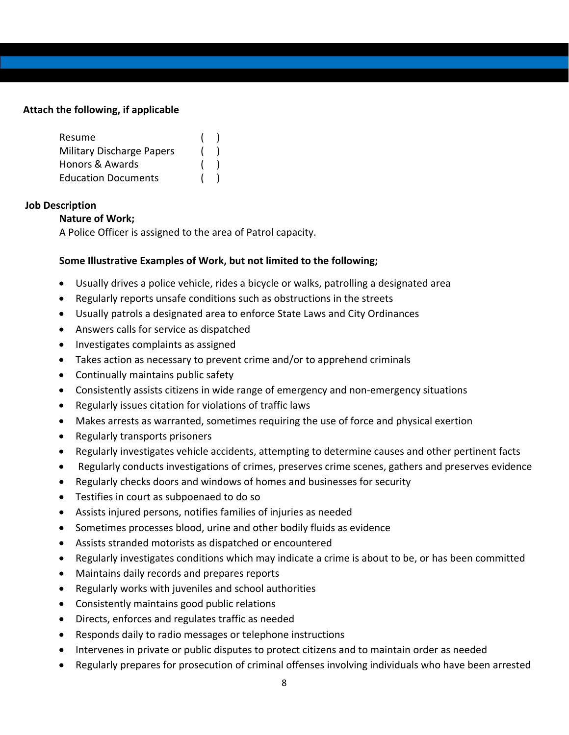## **Attach the following, if applicable**

| Resume                           |  |
|----------------------------------|--|
| <b>Military Discharge Papers</b> |  |
| Honors & Awards                  |  |
| <b>Education Documents</b>       |  |

### **Job Description**

### **Nature of Work;**

A Police Officer is assigned to the area of Patrol capacity.

### **Some Illustrative Examples of Work, but not limited to the following;**

- Usually drives a police vehicle, rides a bicycle or walks, patrolling a designated area
- Regularly reports unsafe conditions such as obstructions in the streets
- Usually patrols a designated area to enforce State Laws and City Ordinances
- Answers calls for service as dispatched
- Investigates complaints as assigned
- Takes action as necessary to prevent crime and/or to apprehend criminals
- Continually maintains public safety
- Consistently assists citizens in wide range of emergency and non-emergency situations
- Regularly issues citation for violations of traffic laws
- Makes arrests as warranted, sometimes requiring the use of force and physical exertion
- Regularly transports prisoners
- Regularly investigates vehicle accidents, attempting to determine causes and other pertinent facts
- Regularly conducts investigations of crimes, preserves crime scenes, gathers and preserves evidence
- Regularly checks doors and windows of homes and businesses for security
- Testifies in court as subpoenaed to do so
- Assists injured persons, notifies families of injuries as needed
- Sometimes processes blood, urine and other bodily fluids as evidence
- Assists stranded motorists as dispatched or encountered
- Regularly investigates conditions which may indicate a crime is about to be, or has been committed
- Maintains daily records and prepares reports
- Regularly works with juveniles and school authorities
- Consistently maintains good public relations
- Directs, enforces and regulates traffic as needed
- Responds daily to radio messages or telephone instructions
- Intervenes in private or public disputes to protect citizens and to maintain order as needed
- Regularly prepares for prosecution of criminal offenses involving individuals who have been arrested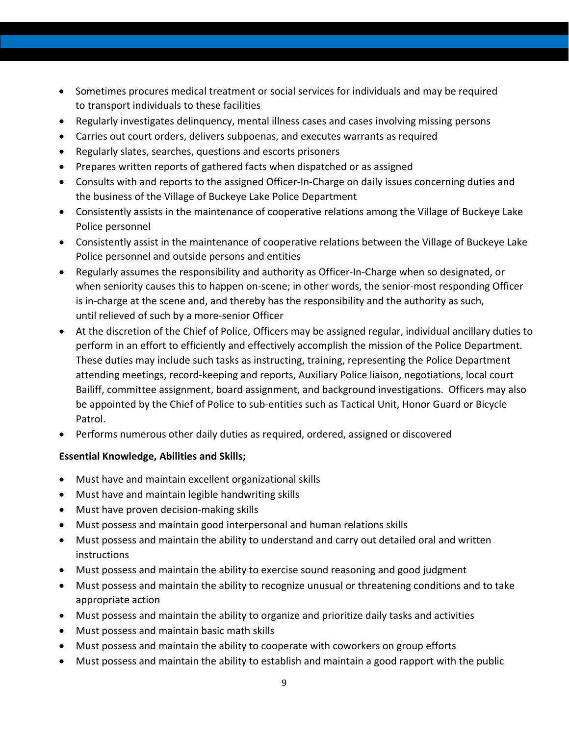- Sometimes procures medical treatment or social services for individuals and may be required to transport individuals to these facilities
- Regularly investigates delinquency, mental illness cases and cases involving missing persons
- Carries out court orders, delivers subpoenas, and executes warrants as required
- Regularly slates, searches, questions and escorts prisoners
- Prepares written reports of gathered facts when dispatched or as assigned
- Consults with and reports to the assigned Officer-In-Charge on daily issues concerning duties and the business of the Village of Buckeye Lake Police Department
- Consistently assists in the maintenance of cooperative relations among the Village of Buckeye Lake Police personnel
- Consistently assist in the maintenance of cooperative relations between the Village of Buckeye Lake Police personnel and outside persons and entities
- Regularly assumes the responsibility and authority as Officer-In-Charge when so designated, or when seniority causes this to happen on-scene; in other words, the senior-most responding Officer is in-charge at the scene and, and thereby has the responsibility and the authority as such, until relieved of such by a more-senior Officer
- At the discretion of the Chief of Police, Officers may be assigned regular, individual ancillary duties to perform in an effort to efficiently and effectively accomplish the mission of the Police Department. These duties may include such tasks as instructing, training, representing the Police Department attending meetings, record-keeping and reports, Auxiliary Police liaison, negotiations, local court Bailiff, committee assignment, board assignment, and background investigations. Officers may also be appointed by the Chief of Police to sub-entities such as Tactical Unit, Honor Guard or Bicycle Patrol.
- Performs numerous other daily duties as required, ordered, assigned or discovered

## **Essential Knowledge, Abilities and Skills;**

- Must have and maintain excellent organizational skills
- Must have and maintain legible handwriting skills
- Must have proven decision-making skills
- Must possess and maintain good interpersonal and human relations skills
- Must possess and maintain the ability to understand and carry out detailed oral and written instructions
- Must possess and maintain the ability to exercise sound reasoning and good judgment
- Must possess and maintain the ability to recognize unusual or threatening conditions and to take appropriate action
- Must possess and maintain the ability to organize and prioritize daily tasks and activities
- Must possess and maintain basic math skills
- Must possess and maintain the ability to cooperate with coworkers on group efforts
- Must possess and maintain the ability to establish and maintain a good rapport with the public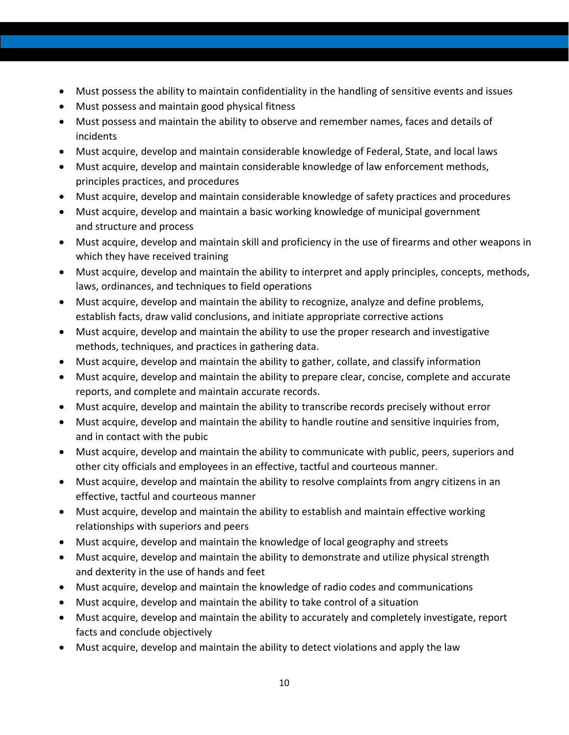- Must possess the ability to maintain confidentiality in the handling of sensitive events and issues
- Must possess and maintain good physical fitness
- Must possess and maintain the ability to observe and remember names, faces and details of incidents
- Must acquire, develop and maintain considerable knowledge of Federal, State, and local laws
- Must acquire, develop and maintain considerable knowledge of law enforcement methods, principles practices, and procedures
- Must acquire, develop and maintain considerable knowledge of safety practices and procedures
- Must acquire, develop and maintain a basic working knowledge of municipal government and structure and process
- Must acquire, develop and maintain skill and proficiency in the use of firearms and other weapons in which they have received training
- Must acquire, develop and maintain the ability to interpret and apply principles, concepts, methods, laws, ordinances, and techniques to field operations
- Must acquire, develop and maintain the ability to recognize, analyze and define problems, establish facts, draw valid conclusions, and initiate appropriate corrective actions
- Must acquire, develop and maintain the ability to use the proper research and investigative methods, techniques, and practices in gathering data.
- Must acquire, develop and maintain the ability to gather, collate, and classify information
- Must acquire, develop and maintain the ability to prepare clear, concise, complete and accurate reports, and complete and maintain accurate records.
- Must acquire, develop and maintain the ability to transcribe records precisely without error
- Must acquire, develop and maintain the ability to handle routine and sensitive inquiries from, and in contact with the pubic
- Must acquire, develop and maintain the ability to communicate with public, peers, superiors and other city officials and employees in an effective, tactful and courteous manner.
- Must acquire, develop and maintain the ability to resolve complaints from angry citizens in an effective, tactful and courteous manner
- Must acquire, develop and maintain the ability to establish and maintain effective working relationships with superiors and peers
- Must acquire, develop and maintain the knowledge of local geography and streets
- Must acquire, develop and maintain the ability to demonstrate and utilize physical strength and dexterity in the use of hands and feet
- Must acquire, develop and maintain the knowledge of radio codes and communications
- Must acquire, develop and maintain the ability to take control of a situation
- Must acquire, develop and maintain the ability to accurately and completely investigate, report facts and conclude objectively
- Must acquire, develop and maintain the ability to detect violations and apply the law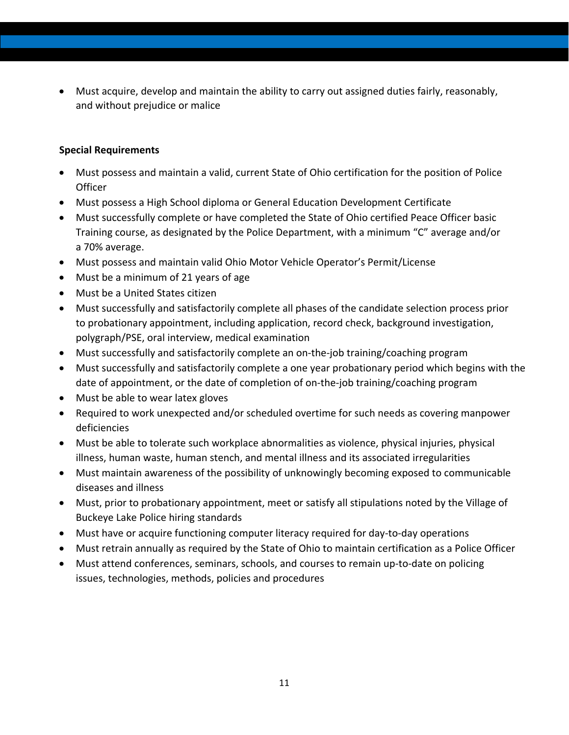• Must acquire, develop and maintain the ability to carry out assigned duties fairly, reasonably, and without prejudice or malice

### **Special Requirements**

- Must possess and maintain a valid, current State of Ohio certification for the position of Police **Officer**
- Must possess a High School diploma or General Education Development Certificate
- Must successfully complete or have completed the State of Ohio certified Peace Officer basic Training course, as designated by the Police Department, with a minimum "C" average and/or a 70% average.
- Must possess and maintain valid Ohio Motor Vehicle Operator's Permit/License
- Must be a minimum of 21 years of age
- Must be a United States citizen
- Must successfully and satisfactorily complete all phases of the candidate selection process prior to probationary appointment, including application, record check, background investigation, polygraph/PSE, oral interview, medical examination
- Must successfully and satisfactorily complete an on-the-job training/coaching program
- Must successfully and satisfactorily complete a one year probationary period which begins with the date of appointment, or the date of completion of on-the-job training/coaching program
- Must be able to wear latex gloves
- Required to work unexpected and/or scheduled overtime for such needs as covering manpower deficiencies
- Must be able to tolerate such workplace abnormalities as violence, physical injuries, physical illness, human waste, human stench, and mental illness and its associated irregularities
- Must maintain awareness of the possibility of unknowingly becoming exposed to communicable diseases and illness
- Must, prior to probationary appointment, meet or satisfy all stipulations noted by the Village of Buckeye Lake Police hiring standards
- Must have or acquire functioning computer literacy required for day-to-day operations
- Must retrain annually as required by the State of Ohio to maintain certification as a Police Officer
- Must attend conferences, seminars, schools, and courses to remain up-to-date on policing issues, technologies, methods, policies and procedures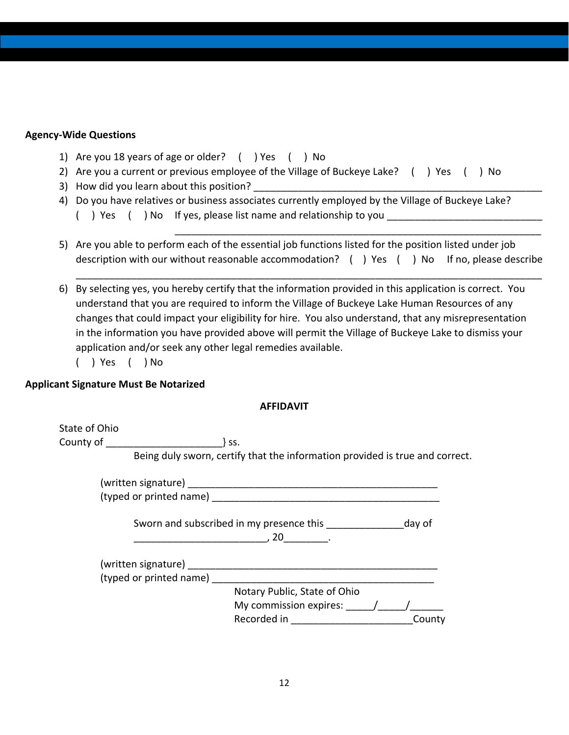### **Agency-Wide Questions**

- 1) Are you 18 years of age or older? ( ) Yes ( ) No
- 2) Are you a current or previous employee of the Village of Buckeye Lake? ( ) Yes ( ) No
- 3) How did you learn about this position?
- 4) Do you have relatives or business associates currently employed by the Village of Buckeye Lake? () Yes () No If yes, please list name and relationship to you
- 5) Are you able to perform each of the essential job functions listed for the position listed under job description with our without reasonable accommodation? () Yes () No If no, please describe

\_\_\_\_\_\_\_\_\_\_\_\_\_\_\_\_\_\_\_\_\_\_\_\_\_\_\_\_\_\_\_\_\_\_\_\_\_\_\_\_\_\_\_\_\_\_\_\_\_\_\_\_\_\_\_\_\_\_\_\_\_\_\_\_\_\_\_\_\_\_\_\_\_\_\_\_\_\_\_\_\_\_\_\_

\_\_\_\_\_\_\_\_\_\_\_\_\_\_\_\_\_\_\_\_\_\_\_\_\_\_\_\_\_\_\_\_\_\_\_\_\_\_\_\_\_\_\_\_\_\_\_\_\_\_\_\_\_\_\_\_\_\_\_\_\_\_\_\_\_\_

- 6) By selecting yes, you hereby certify that the information provided in this application is correct. You understand that you are required to inform the Village of Buckeye Lake Human Resources of any changes that could impact your eligibility for hire. You also understand, that any misrepresentation in the information you have provided above will permit the Village of Buckeye Lake to dismiss your application and/or seek any other legal remedies available.
	- ( ) Yes ( ) No

### **Applicant Signature Must Be Notarized**

### **AFFIDAVIT**

| State of Ohio |                                                                              |
|---------------|------------------------------------------------------------------------------|
|               | County of the country of the country of<br>$\}$ SS.                          |
|               | Being duly sworn, certify that the information provided is true and correct. |
|               |                                                                              |
|               |                                                                              |
|               | Sworn and subscribed in my presence this<br>day of<br>20                     |
|               |                                                                              |
|               | (typed or printed name) (typed or printed name)                              |
|               | Notary Public, State of Ohio                                                 |
|               | My commission expires: $/$ /                                                 |
|               | Recorded in<br>County                                                        |